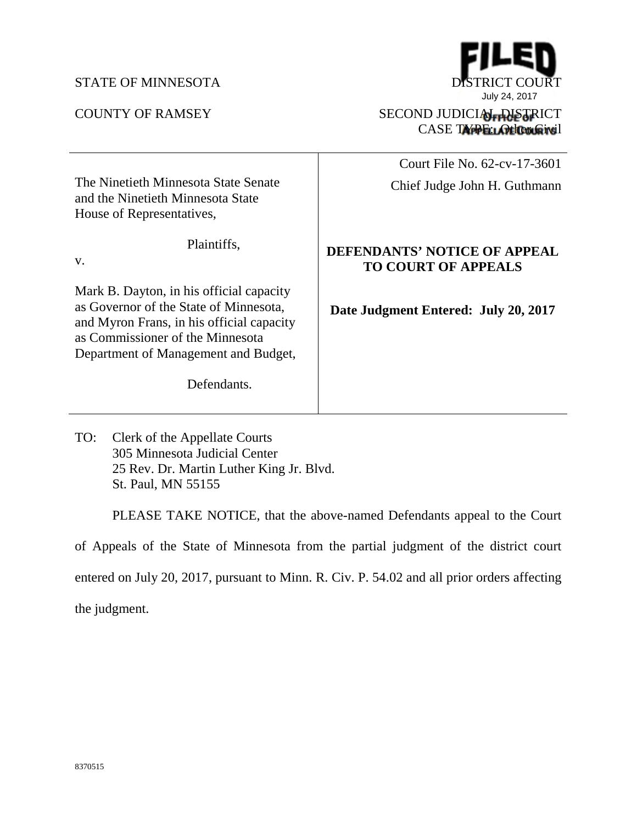## STATE OF MINNESOTA DISTRICT COURT



CASE TYPE: Other Givil

|                                                                                                                                                                                                             | Court File No. 62-cv-17-3601                               |
|-------------------------------------------------------------------------------------------------------------------------------------------------------------------------------------------------------------|------------------------------------------------------------|
| The Ninetieth Minnesota State Senate<br>and the Ninetieth Minnesota State<br>House of Representatives,                                                                                                      | Chief Judge John H. Guthmann                               |
| Plaintiffs,<br>V.                                                                                                                                                                                           | DEFENDANTS' NOTICE OF APPEAL<br><b>TO COURT OF APPEALS</b> |
| Mark B. Dayton, in his official capacity<br>as Governor of the State of Minnesota,<br>and Myron Frans, in his official capacity<br>as Commissioner of the Minnesota<br>Department of Management and Budget, | Date Judgment Entered: July 20, 2017                       |
| Defendants.                                                                                                                                                                                                 |                                                            |

TO: Clerk of the Appellate Courts 305 Minnesota Judicial Center 25 Rev. Dr. Martin Luther King Jr. Blvd. St. Paul, MN 55155

PLEASE TAKE NOTICE, that the above-named Defendants appeal to the Court of Appeals of the State of Minnesota from the partial judgment of the district court entered on July 20, 2017, pursuant to Minn. R. Civ. P. 54.02 and all prior orders affecting the judgment.